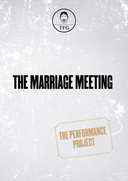

## THE MARRIAGE MEETING

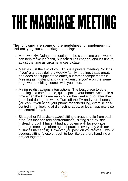# THE MAGGIAGE MEETING

The following are some of the guidelines for implementing and carrying out a marriage meeting:

- Meet weekly. Doing the meeting at the same time each week can help make it a habit, but schedules change, and it's fine to adjust the time as circumstances dictate.
- Meet as just the two of you. This is a private meeting. No kids. If you're already doing a weekly family [meeting](https://www.artofmanliness.com/articles/creating-a-positive-family-culture-how-to-plan-and-lead-a-weekly-family-meeting/), that's great; one does not supplant the other, but rather complements it. Meeting as husband and wife will ensure you're on the same page when holding council with your kids.
- Minimize distractions/interruptions. The best place to do a meeting is a comfortable, quiet spot in your home. Schedule a time when the kids are napping on the weekend, or after they go to bed during the week. Turn off the TV and your phones if you can. If you need your phone for scheduling, exercise selfcontrol in not looking at distracting apps, or let an app [exercise](https://www.artofmanliness.com/articles/break-smartphone-habit/) the [control](https://www.artofmanliness.com/articles/break-smartphone-habit/) for you.
- Sit together I'd advise *against* sitting across a table from each other, as that can feel confrontational, sitting side-by-side instead, though I haven't had a problem with face-of-face marriage meetings (then again I practice every day with our business meetings!). However you position yourselves, I would suggest sitting "close enough to feel like partners handling a project together."

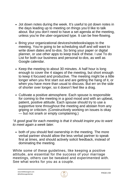- Jot down notes during the week. It's useful to jot down notes in the days leading up to meeting on things you'd like to talk about. But you don't need to have a set agenda at the meeting, unless you're the uber-organized type. It can be free-flowing.
- Bring your organizational devices/notebooks/apps to the meeting. You're going to be scheduling stuff and will want to write down dates and to-dos. So bring your paper or digital planner, or use other apps to keep track of these. I [use](https://www.artofmanliness.com/articles/todoist-productivity-tips/) To do [List](https://www.artofmanliness.com/articles/todoist-productivity-tips/) for both our business and personal to-dos, as well as Google calendar.
- Keep the meeting to about 30 minutes. A half hour is long enough to cover the 4 stages of the meeting, but short enough to keep it focused and productive. The meeting might be a little longer when you first start out and are getting the hang of it, or when you have more than usual to discuss. But err on the side of shorter over longer, so it doesn't feel like a drag.
- Cultivate a positive atmosphere. Each spouse is responsible for coming to the meeting in a good mood and with an upbeat, patient, positive attitude. Each spouse should try to use a supportive tone throughout the meeting and abstain from any griping or criticism. (Constructively working on issues is okay — but not snark or empty complaining.)

### *"A good goal for each meeting is that it should inspire you to want to meet again a week later.*

• both of you should feel ownership in the meeting. The more verbal partner should allow the less verbal partner to speak first at times, and should actively solicit feedback, instead of dominating the meeting.

While some of these guidelines, like keeping a positive attitude, are essential for the success of your marriage meetings, others can be tweaked and experimented with. See what works for you as a couple.

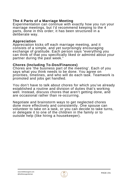### **The 4 Parts of a Marriage Meeting**

Experimentation can continue with exactly how you run your marriage meetings, but I'd recommend keeping to the 4 parts, done in this order; it has been structured in a deliberate way.

### **Appreciation**

Appreciation kicks off each marriage meeting, and it consists of a simple, and yet surprisingly encouraging exchange of gratitude. Each person says "everything you can think of that you specifically liked or admired about your partner during the past week."

### **Chores (Including To-Dos/Finances)**

Chores are 'the business part of the meeting'. Each of you says what you think needs to be done. You agree on priorities, timelines, and who will do each task. Teamwork is promoted and jobs get handled.

You don't have to talk about chores for which you've already established a routine and division of duties that's working well. Instead, discuss chores that aren't getting done, and are occasional rather than re-occurring.

Negotiate and brainstorm ways to get neglected chores done more effectively and consistently. One spouse can volunteer to take on a task, or you can decide to take turns, or delegate it to one of the children in the family [or](https://www.artofmanliness.com/articles/the-pros-and-cons-of-outsourcing-your-life/) to [outside](https://www.artofmanliness.com/articles/the-pros-and-cons-of-outsourcing-your-life/) help (like hiring a housekeeper).